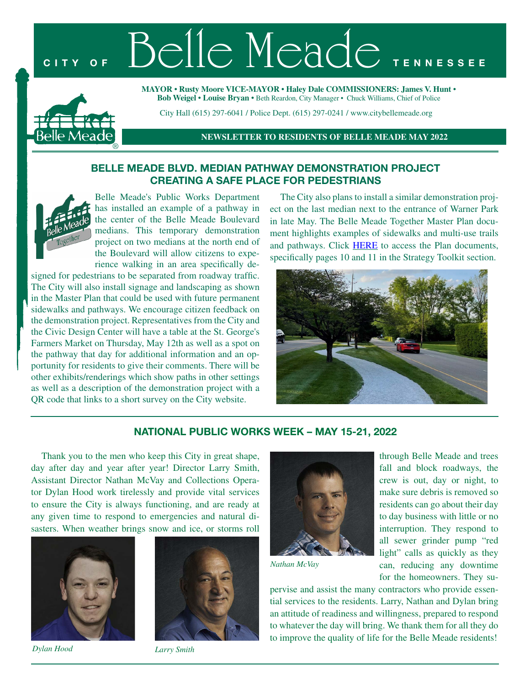# CITY OF Belle Meade TENNES



**MAYOR** • **Rusty Moore VICE-MAYOR** • **Haley Dale COMMISSIONERS: James V. Hunt** • **Bob Weigel** • **Louise Bryan** • Beth Reardon, City Manager • Chuck Williams, Chief of Police

City Hall (615) 297-6041 / Police Dept. (615) 297-0241 / www.citybellemeade.org

**NEWSLETTER TO RESIDENTS OF BELLE MEADE MAY 2022**

## **BELLE MEADE BLVD. MEDIAN PATHWAY DEMONSTRATION PROJECT CREATING A SAFE PLACE FOR PEDESTRIANS**



Belle Meade's Public Works Department has installed an example of a pathway in the center of the Belle Meade Boulevard medians. This temporary demonstration project on two medians at the north end of the Boulevard will allow citizens to experience walking in an area specifically de-

signed for pedestrians to be separated from roadway traffic. The City will also install signage and landscaping as shown in the Master Plan that could be used with future permanent sidewalks and pathways. We encourage citizen feedback on the demonstration project. Representatives from the City and the Civic Design Center will have a table at the St. George's Farmers Market on Thursday, May 12th as well as a spot on the pathway that day for additional information and an opportunity for residents to give their comments. There will be other exhibits/renderings which show paths in other settings as well as a description of the demonstration project with a QR code that links to a short survey on the City website.

The City also plans to install a similar demonstration project on the last median next to the entrance of Warner Park in late May. The Belle Meade Together Master Plan document highlights examples of sidewalks and multi-use trails and pathways. Click [HERE](https://citybellemeade.org/wp-content/uploads/2021/11/BM-Together-Final-Report-10-28-21.pdf) to access the Plan documents, specifically pages 10 and 11 in the Strategy Toolkit section.



## **NATIONAL PUBLIC WORKS WEEK – MAY 15-21, 2022**

Thank you to the men who keep this City in great shape, day after day and year after year! Director Larry Smith, Assistant Director Nathan McVay and Collections Operator Dylan Hood work tirelessly and provide vital services to ensure the City is always functioning, and are ready at any given time to respond to emergencies and natural disasters. When weather brings snow and ice, or storms roll



*Dylan Hood Larry Smith*





*Nathan McVay*

through Belle Meade and trees fall and block roadways, the crew is out, day or night, to make sure debris is removed so residents can go about their day to day business with little or no interruption. They respond to all sewer grinder pump "red light" calls as quickly as they can, reducing any downtime for the homeowners. They su-

pervise and assist the many contractors who provide essential services to the residents. Larry, Nathan and Dylan bring an attitude of readiness and willingness, prepared to respond to whatever the day will bring. We thank them for all they do to improve the quality of life for the Belle Meade residents!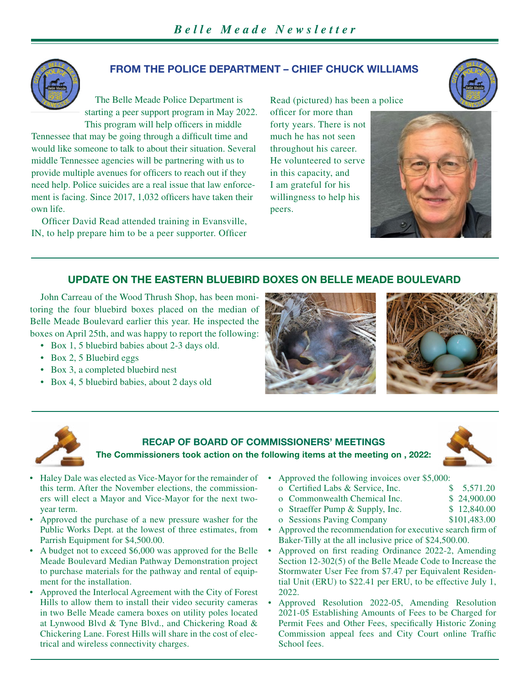

## **FROM THE POLICE DEPARTMENT – CHIEF CHUCK WILLIAMS**

The Belle Meade Police Department is starting a peer support program in May 2022. This program will help officers in middle

Tennessee that may be going through a difficult time and would like someone to talk to about their situation. Several middle Tennessee agencies will be partnering with us to provide multiple avenues for officers to reach out if they need help. Police suicides are a real issue that law enforcement is facing. Since 2017, 1,032 officers have taken their own life.

Officer David Read attended training in Evansville, IN, to help prepare him to be a peer supporter. Officer

Read (pictured) has been a police officer for more than forty years. There is not much he has not seen throughout his career. He volunteered to serve in this capacity, and I am grateful for his willingness to help his peers.





## **UPDATE ON THE EASTERN BLUEBIRD BOXES ON BELLE MEADE BOULEVARD**

John Carreau of the Wood Thrush Shop, has been monitoring the four bluebird boxes placed on the median of Belle Meade Boulevard earlier this year. He inspected the boxes on April 25th, and was happy to report the following:

- Box 1, 5 bluebird babies about 2-3 days old.
- Box 2, 5 Bluebird eggs
- Box 3, a completed bluebird nest
- Box 4, 5 bluebird babies, about 2 days old







## **RECAP OF BOARD OF COMMISSIONERS' MEETINGS The Commissioners took action on the following items at the meeting on , 2022:**



- Haley Dale was elected as Vice-Mayor for the remainder of this term. After the November elections, the commissioners will elect a Mayor and Vice-Mayor for the next twoyear term.
- Approved the purchase of a new pressure washer for the Public Works Dept. at the lowest of three estimates, from Parrish Equipment for \$4,500.00.
- A budget not to exceed \$6,000 was approved for the Belle Meade Boulevard Median Pathway Demonstration project to purchase materials for the pathway and rental of equipment for the installation.
- Approved the Interlocal Agreement with the City of Forest Hills to allow them to install their video security cameras in two Belle Meade camera boxes on utility poles located at Lynwood Blvd & Tyne Blvd., and Chickering Road & Chickering Lane. Forest Hills will share in the cost of electrical and wireless connectivity charges.
- Approved the following invoices over \$5,000:
	- o Certified Labs & Service, Inc. \$ 5,571.20 o Commonwealth Chemical Inc. \$ 24,900.00 o Straeffer Pump & Supply, Inc.  $$ 12,840.00$ 
		- o Sessions Paving Company \$101,483.00
- Approved the recommendation for executive search firm of Baker-Tilly at the all inclusive price of \$24,500.00.
- Approved on first reading Ordinance 2022-2, Amending Section 12-302(5) of the Belle Meade Code to Increase the Stormwater User Fee from \$7.47 per Equivalent Residential Unit (ERU) to \$22.41 per ERU, to be effective July 1, 2022.
- Approved Resolution 2022-05, Amending Resolution 2021-05 Establishing Amounts of Fees to be Charged for Permit Fees and Other Fees, specifically Historic Zoning Commission appeal fees and City Court online Traffic School fees.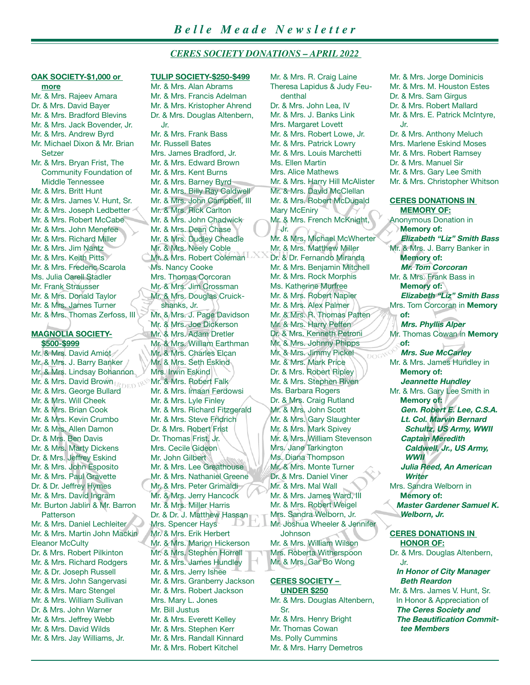## *CERES SOCIETY DONATIONS – APRIL 2022*

Mr. & Mrs. R. Craig Laine

# **OAK SOCIETY-\$1,000 or**

**more** Mr. & Mrs. Rajeev Amara Dr. & Mrs. David Bayer Mr. & Mrs. Bradford Blevins Mr. & Mrs. Jack Bovender, Jr. Mr. & Mrs. Andrew Byrd Mr. Michael Dixon & Mr. Brian Setzer Mr. & Mrs. Bryan Frist, The Community Foundation of Middle Tennessee Mr. & Mrs. Britt Hunt Mr. & Mrs. James V. Hunt, Sr. Mr. & Mrs. Joseph Ledbetter Mr. & Mrs. Robert McCabe Mr. & Mrs. John Menefee Mr. & Mrs. Richard Miller Mr. & Mrs. Jim Nantz Mr. & Mrs. Keith Pitts Mr. & Mrs. Frederic Scarola Ms. Julia Carell Stadler Mr. Frank Strausser Mr. & Mrs. Donald Taylor Mr. & Mrs. James Turner Mr. & Mrs. Thomas Zerfoss, III

#### **MAGNOLIA SOCIETY- \$500-\$999**

Mr. & Mrs. David Amiot Mr. & Mrs. J. Barry Banker Mr. & Mrs. Lindsay Bohannon Mr. & Mrs. David Brown Mr. & Mrs. George Bullard Mr. & Mrs. Will Cheek Mr. & Mrs. Brian Cook Mr. & Mrs. Kevin Crumbo Mr. & Mrs. Allen Damon Dr. & Mrs. Ben Davis Mr. & Mrs. Marty Dickens Dr. & Mrs. Jeffrey Eskind Mr. & Mrs. John Esposito Mr. & Mrs. Paul Gravette Dr. & Dr. Jeffrey Hymes Mr. & Mrs. David Ingram Mr. Burton Jablin & Mr. Barron **Patterson** Mr. & Mrs. Daniel Lechleiter Mr. & Mrs. Martin John Mackin **Eleanor McCulty** Dr. & Mrs. Robert Pilkinton Mr. & Mrs. Richard Rodgers Mr. & Dr. Joseph Russell Mr. & Mrs. John Sangervasi Mr. & Mrs. Marc Stengel Mr. & Mrs. William Sullivan Dr. & Mrs. John Warner Mr. & Mrs. Jeffrey Webb Mr. & Mrs. David Wilds Mr. & Mrs. Jay Williams, Jr.

#### **TULIP SOCIETY-\$250-\$499**

Mr. & Mrs. Alan Abrams Mr. & Mrs. Francis Adelman Mr. & Mrs. Kristopher Ahrend Dr. & Mrs. Douglas Altenbern, Jr. Mr. & Mrs. Frank Bass Mr. Russell Bates Mrs. James Bradford, Jr. Mr. & Mrs. Edward Brown Mr. & Mrs. Kent Burns Mr. & Mrs. Barney Byrd Mr. & Mrs. Billy Ray Caldwell Mr. & Mrs. John Campbell, III Mr. & Mrs. Rick Carlton Mr. & Mrs. John Chadwick Mr. & Mrs. Dean Chase Mr. & Mrs. Dudley Cheadle Mr. & Mrs. Neely Coble Mr. & Mrs. Robert Coleman Ms. Nancy Cooke Mrs. Thomas Corcoran Mr. & Mrs. Jim Crossman Mr. & Mrs. Douglas Cruickshanks, Jr. Mr. & Mrs. J. Page Davidson Mr. & Mrs. Joe Dickerson Mr. & Mrs. Adam Dretler Mr. & Mrs. William Earthman Mr. & Mrs. Charles Elcan Mr. & Mrs. Seth Eskind Mrs. Irwin Eskind Mr. & Mrs. Robert Falk Mr. & Mrs. Imaan Ferdowsi Mr. & Mrs. Lyle Finley Mr. & Mrs. Richard Fitzgerald Mr. & Mrs. Steve Fridrich Dr. & Mrs. Robert Frist Dr. Thomas Frist, Jr. Mrs. Cecile Gideon Mr. John Gilbert Mr. & Mrs. Lee Greathouse Mr. & Mrs. Nathaniel Greene Mr. & Mrs. Peter Grimaldi Mr. & Mrs. Jerry Hancock Mr. & Mrs. Miller Harris Dr. & Dr. J. Matthew Hassan Mrs. Spencer Hays Mr. & Mrs. Erik Herbert Mr. & Mrs. Marion Hickerson Mr. & Mrs. Stephen Horrell Mr. & Mrs. James Hundley Mr. & Mrs. Jerry Ishee Mr. & Mrs. Granberry Jackson Mr. & Mrs. Robert Jackson Mrs. Mary L. Jones Mr. Bill Justus Mr. & Mrs. Everett Kelley Mr. & Mrs. Stephen Kerr Mr. & Mrs. Randall Kinnard Mr. & Mrs. Robert Kitchel

Theresa Lapidus & Judy Feudenthal Dr. & Mrs. John Lea, IV Mr. & Mrs. J. Banks Link Mrs. Margaret Lovett Mr. & Mrs. Robert Lowe, Jr. Mr. & Mrs. Patrick Lowry Mr. & Mrs. Louis Marchetti Ms. Ellen Martin Mrs. Alice Mathews Mr. & Mrs. Harry Hill McAlister Mr. & Mrs. David McClellan Mr. & Mrs. Robert McDugald Mary McEniry Mr. & Mrs. French McKnight, Jr. Mr. & Mrs. Michael McWherter Mr. & Mrs. Matthew Miller Dr. & Dr. Fernando Miranda Mr. & Mrs. Benjamin Mitchell Mr. & Mrs. Rock Morphis Ms. Katherine Murfree Mr. & Mrs. Robert Napier Mr. & Mrs. Alex Palmer Mr. & Mrs. R. Thomas Patten Mr. & Mrs. Harry Peffen Dr. & Mrs. Kenneth Petroni Mr. & Mrs. Johnny Phipps Mr. & Mrs. Jimmy Pickel Mr. & Mrs. Mark Price Dr. & Mrs. Robert Ripley Mr. & Mrs. Stephen Riven Ms. Barbara Rogers Dr. & Mrs. Craig Rutland Mr. & Mrs. John Scott Mr. & Mrs. Gary Slaughter Mr. & Mrs. Mark Spivey Mr. & Mrs. William Stevenson Mrs. Jane Tarkington Ms. Diana Thompson Mr. & Mrs. Monte Turner Dr. & Mrs. Daniel Viner Mr. & Mrs. Mal Wall Mr. & Mrs. James Ward, III Mr. & Mrs. Robert Weigel Mrs. Sandra Welborn, Jr. Mr. Joshua Wheeler & Jennifer Johnson Mr. & Mrs. William Wilson Mrs. Roberta Witherspoon Mr. & Mrs. Gar Bo Wong

#### **CERES SOCIETY – UNDER \$250**

Mr. & Mrs. Douglas Altenbern, Sr. Mr. & Mrs. Henry Bright Mr. Thomas Cowan Ms. Polly Cummins Mr. & Mrs. Harry Demetros

Mr. & Mrs. Jorge Dominicis Mr. & Mrs. M. Houston Estes Dr. & Mrs. Sam Girgus Dr. & Mrs. Robert Mallard Mr. & Mrs. E. Patrick McIntyre, Jr. Dr. & Mrs. Anthony Meluch Mrs. Marlene Eskind Moses Mr. & Mrs. Robert Ramsey Dr. & Mrs. Manuel Sir Mr. & Mrs. Gary Lee Smith Mr. & Mrs. Christopher Whitson

#### **CERES DONATIONS IN MEMORY OF:**

Anonymous Donation in **Memory of: Elizabeth "Liz" Smith Bass** Mr. & Mrs. J. Barry Banker in **Memory of: Mr. Tom Corcoran** Mr. & Mrs. Frank Bass in **Memory of: Elizabeth "Liz" Smith Bass** Mrs. Tom Corcoran in **Memory of: Mrs. Phyllis Alper** Mr. Thomas Cowan in **Memory of: Mrs. Sue McCarley** Mr. & Mrs. James Hundley in **Memory of: Jeannette Hundley** Mr. & Mrs. Gary Lee Smith in **Memory of: Gen. Robert E. Lee, C.S.A. Lt. Col. Marvin Bernard Schultz, US Army, WWII Captain Meredith Caldwell, Jr., US Army, WWII Julia Reed, An American Writer** Mrs. Sandra Welborn in **Memory of: Master Gardener Samuel K. Welborn, Jr.**

#### **CERES DONATIONS IN HONOR OF:**

Dr. & Mrs. Douglas Altenbern, Jr.  **In Honor of City Manager Beth Reardon**

Mr. & Mrs. James V. Hunt, Sr. In Honor & Appreciation of  **The Ceres Society and The Beautification Committee Members**